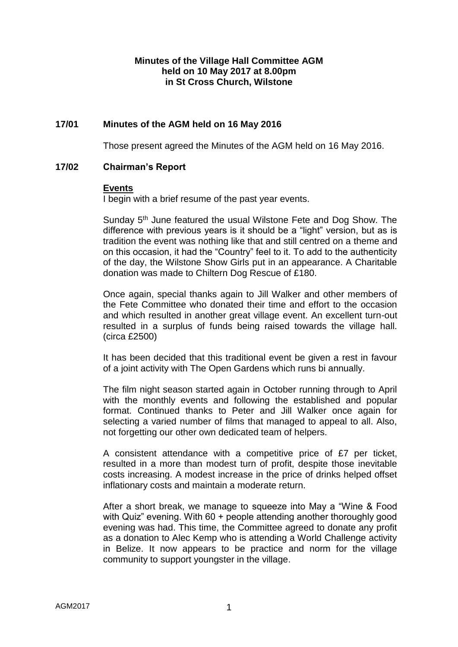## **Minutes of the Village Hall Committee AGM held on 10 May 2017 at 8.00pm in St Cross Church, Wilstone**

# **17/01 Minutes of the AGM held on 16 May 2016**

Those present agreed the Minutes of the AGM held on 16 May 2016.

### **17/02 Chairman's Report**

#### **Events**

I begin with a brief resume of the past year events.

Sunday 5<sup>th</sup> June featured the usual Wilstone Fete and Dog Show. The difference with previous years is it should be a "light" version, but as is tradition the event was nothing like that and still centred on a theme and on this occasion, it had the "Country" feel to it. To add to the authenticity of the day, the Wilstone Show Girls put in an appearance. A Charitable donation was made to Chiltern Dog Rescue of £180.

Once again, special thanks again to Jill Walker and other members of the Fete Committee who donated their time and effort to the occasion and which resulted in another great village event. An excellent turn-out resulted in a surplus of funds being raised towards the village hall. (circa £2500)

It has been decided that this traditional event be given a rest in favour of a joint activity with The Open Gardens which runs bi annually.

The film night season started again in October running through to April with the monthly events and following the established and popular format. Continued thanks to Peter and Jill Walker once again for selecting a varied number of films that managed to appeal to all. Also, not forgetting our other own dedicated team of helpers.

A consistent attendance with a competitive price of £7 per ticket, resulted in a more than modest turn of profit, despite those inevitable costs increasing. A modest increase in the price of drinks helped offset inflationary costs and maintain a moderate return.

After a short break, we manage to squeeze into May a "Wine & Food with Quiz" evening. With 60 + people attending another thoroughly good evening was had. This time, the Committee agreed to donate any profit as a donation to Alec Kemp who is attending a World Challenge activity in Belize. It now appears to be practice and norm for the village community to support youngster in the village.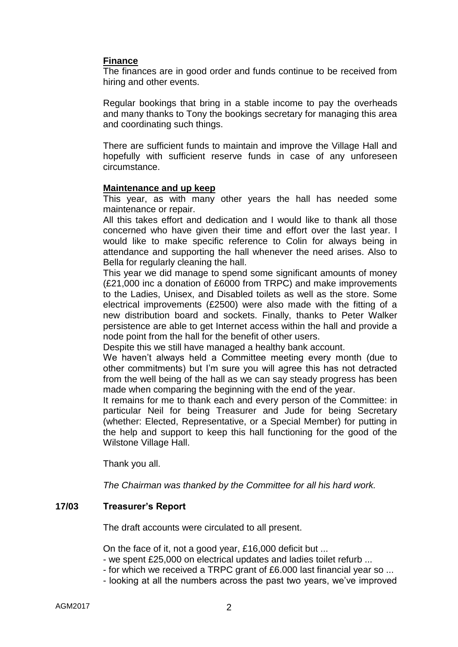## **Finance**

The finances are in good order and funds continue to be received from hiring and other events.

Regular bookings that bring in a stable income to pay the overheads and many thanks to Tony the bookings secretary for managing this area and coordinating such things.

There are sufficient funds to maintain and improve the Village Hall and hopefully with sufficient reserve funds in case of any unforeseen circumstance.

#### **Maintenance and up keep**

This year, as with many other years the hall has needed some maintenance or repair.

All this takes effort and dedication and I would like to thank all those concerned who have given their time and effort over the last year. I would like to make specific reference to Colin for always being in attendance and supporting the hall whenever the need arises. Also to Bella for regularly cleaning the hall.

This year we did manage to spend some significant amounts of money (£21,000 inc a donation of £6000 from TRPC) and make improvements to the Ladies, Unisex, and Disabled toilets as well as the store. Some electrical improvements (£2500) were also made with the fitting of a new distribution board and sockets. Finally, thanks to Peter Walker persistence are able to get Internet access within the hall and provide a node point from the hall for the benefit of other users.

Despite this we still have managed a healthy bank account.

We haven't always held a Committee meeting every month (due to other commitments) but I'm sure you will agree this has not detracted from the well being of the hall as we can say steady progress has been made when comparing the beginning with the end of the year.

It remains for me to thank each and every person of the Committee: in particular Neil for being Treasurer and Jude for being Secretary (whether: Elected, Representative, or a Special Member) for putting in the help and support to keep this hall functioning for the good of the Wilstone Village Hall.

Thank you all.

*The Chairman was thanked by the Committee for all his hard work.*

#### **17/03 Treasurer's Report**

The draft accounts were circulated to all present.

On the face of it, not a good year, £16,000 deficit but ...

- we spent £25,000 on electrical updates and ladies toilet refurb ...

- for which we received a TRPC grant of £6.000 last financial year so ...
- looking at all the numbers across the past two years, we've improved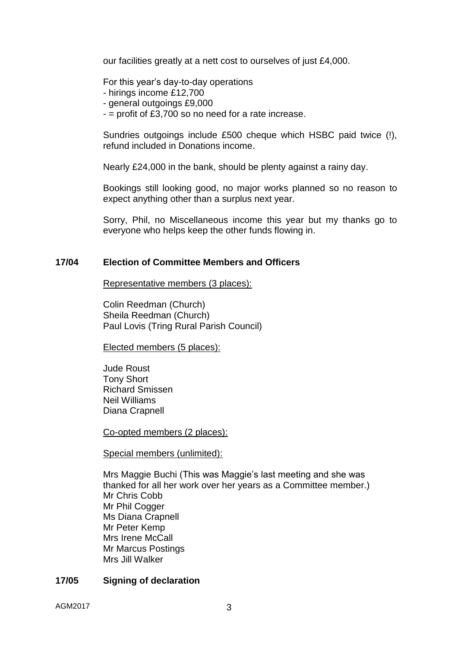our facilities greatly at a nett cost to ourselves of just £4,000.

For this year's day-to-day operations

- hirings income £12,700
- general outgoings £9,000
- $-$  = profit of £3,700 so no need for a rate increase.

Sundries outgoings include £500 cheque which HSBC paid twice (!), refund included in Donations income.

Nearly £24,000 in the bank, should be plenty against a rainy day.

Bookings still looking good, no major works planned so no reason to expect anything other than a surplus next year.

Sorry, Phil, no Miscellaneous income this year but my thanks go to everyone who helps keep the other funds flowing in.

#### **17/04 Election of Committee Members and Officers**

Representative members (3 places):

Colin Reedman (Church) Sheila Reedman (Church) Paul Lovis (Tring Rural Parish Council)

Elected members (5 places):

Jude Roust Tony Short Richard Smissen Neil Williams Diana Crapnell

Co-opted members (2 places):

Special members (unlimited):

Mrs Maggie Buchi (This was Maggie's last meeting and she was thanked for all her work over her years as a Committee member.) Mr Chris Cobb Mr Phil Cogger Ms Diana Crapnell Mr Peter Kemp Mrs Irene McCall Mr Marcus Postings Mrs Jill Walker

#### **17/05 Signing of declaration**